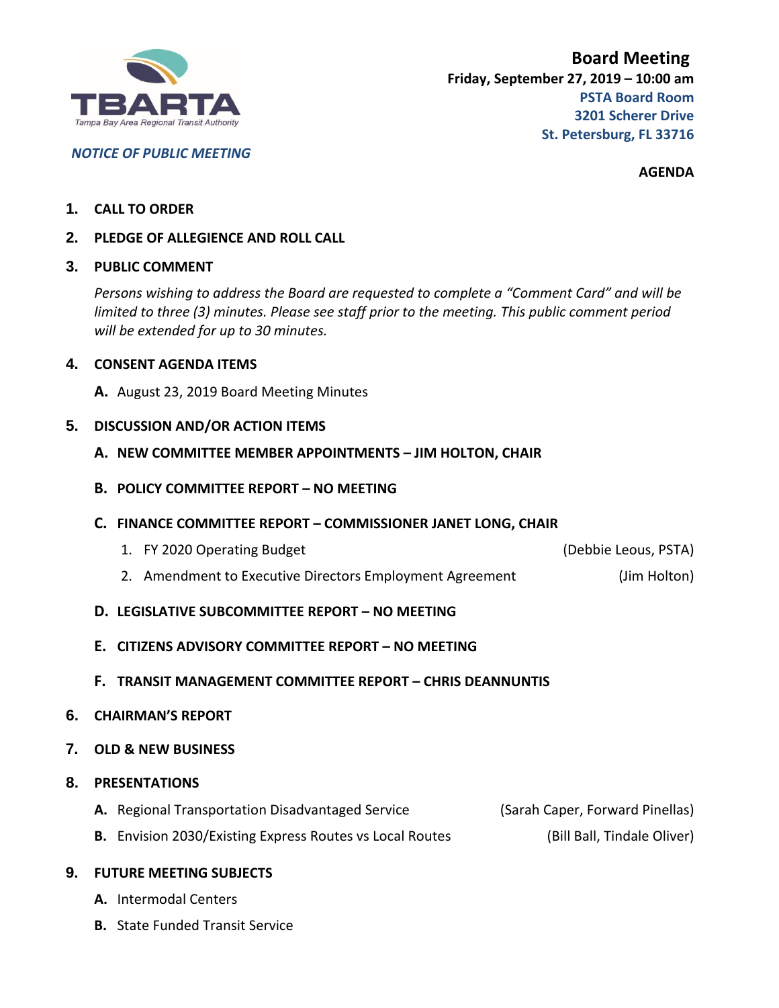

*NOTICE OF PUBLIC MEETING*

**AGENDA**

### **1. CALL TO ORDER**

**2. PLEDGE OF ALLEGIENCE AND ROLL CALL**

#### **3. PUBLIC COMMENT**

*Persons wishing to address the Board are requested to complete a "Comment Card" and will be limited to three (3) minutes. Please see staff prior to the meeting. This public comment period will be extended for up to 30 minutes.*

### **4. CONSENT AGENDA ITEMS**

**A.** August 23, 2019 Board Meeting Minutes

#### **5. DISCUSSION AND/OR ACTION ITEMS**

- **A. NEW COMMITTEE MEMBER APPOINTMENTS – JIM HOLTON, CHAIR**
- **B. POLICY COMMITTEE REPORT – NO MEETING**
- **C. FINANCE COMMITTEE REPORT – COMMISSIONER JANET LONG, CHAIR**
	- 1. FY 2020 Operating Budget (Debbie Leous, PSTA)

- 2. Amendment to Executive Directors Employment Agreement (Jim Holton)
- **D. LEGISLATIVE SUBCOMMITTEE REPORT – NO MEETING**
- **E. CITIZENS ADVISORY COMMITTEE REPORT – NO MEETING**
- **F. TRANSIT MANAGEMENT COMMITTEE REPORT – CHRIS DEANNUNTIS**
- **6. CHAIRMAN'S REPORT**

## **7. OLD & NEW BUSINESS**

## **8. PRESENTATIONS**

- **A.** Regional Transportation Disadvantaged Service (Sarah Caper, Forward Pinellas)
- **B.** Envision 2030/Existing Express Routes vs Local Routes (Bill Ball, Tindale Oliver)

#### **9. FUTURE MEETING SUBJECTS**

- **A.** Intermodal Centers
- **B.** State Funded Transit Service